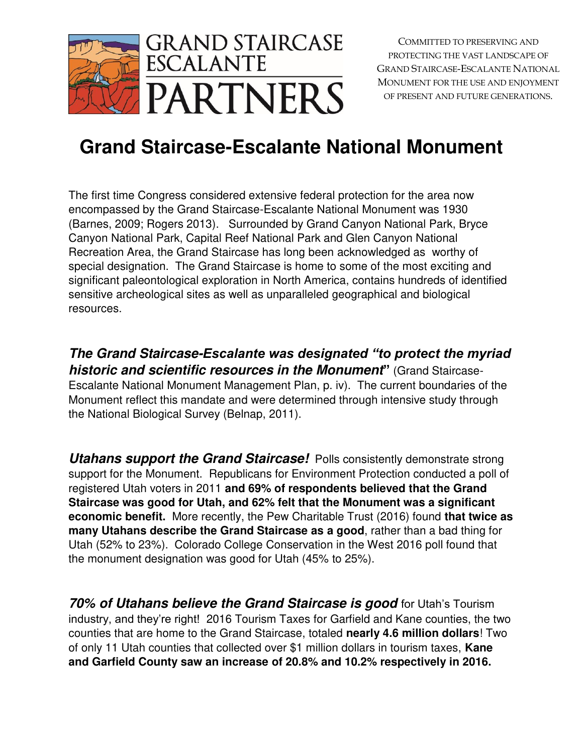

## **Grand Staircase-Escalante National Monument**

The first time Congress considered extensive federal protection for the area now encompassed by the Grand Staircase-Escalante National Monument was 1930 (Barnes, 2009; Rogers 2013). Surrounded by Grand Canyon National Park, Bryce Canyon National Park, Capital Reef National Park and Glen Canyon National Recreation Area, the Grand Staircase has long been acknowledged as worthy of special designation. The Grand Staircase is home to some of the most exciting and significant paleontological exploration in North America, contains hundreds of identified sensitive archeological sites as well as unparalleled geographical and biological resources.

**The Grand Staircase-***Escalante was designated "to protect the myriad*  **historic and scientific resources in the Monument"** (Grand Staircase-Escalante National Monument Management Plan, p. iv). The current boundaries of the Monument reflect this mandate and were determined through intensive study through the National Biological Survey (Belnap, 2011).

**Utahans support the Grand Staircase!** Polls consistently demonstrate strong support for the Monument. Republicans for Environment Protection conducted a poll of registered Utah voters in 2011 **and 69% of respondents believed that the Grand Staircase was good for Utah, and 62% felt that the Monument was a significant economic benefit.** More recently, the Pew Charitable Trust (2016) found **that twice as many Utahans describe the Grand Staircase as a good**, rather than a bad thing for Utah (52% to 23%). Colorado College Conservation in the West 2016 poll found that the monument designation was good for Utah (45% to 25%).

**70% of Utahans believe the Grand Staircase is good** for Utah's Tourism industry, and they're right! 2016 Tourism Taxes for Garfield and Kane counties, the two counties that are home to the Grand Staircase, totaled **nearly 4.6 million dollars**! Two of only 11 Utah counties that collected over \$1 million dollars in tourism taxes, **Kane and Garfield County saw an increase of 20.8% and 10.2% respectively in 2016.**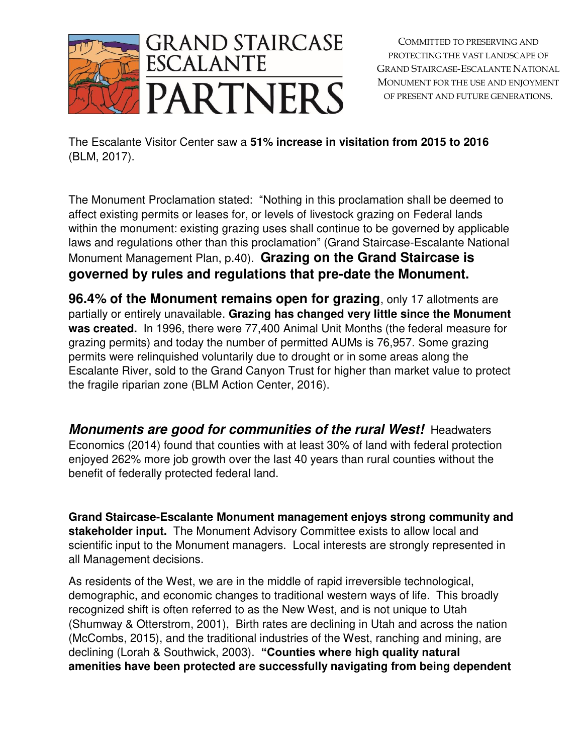

The Escalante Visitor Center saw a **51% increase in visitation from 2015 to 2016** (BLM, 2017).

The Monument Proclamation stated: "Nothing in this proclamation shall be deemed to affect existing permits or leases for, or levels of livestock grazing on Federal lands within the monument: existing grazing uses shall continue to be governed by applicable laws and regulations other than this proclamation" (Grand Staircase-Escalante National Monument Management Plan, p.40). **Grazing on the Grand Staircase is governed by rules and regulations that pre-date the Monument.** 

**96.4% of the Monument remains open for grazing**, only 17 allotments are partially or entirely unavailable. **Grazing has changed very little since the Monument was created.** In 1996, there were 77,400 Animal Unit Months (the federal measure for grazing permits) and today the number of permitted AUMs is 76,957. Some grazing permits were relinquished voluntarily due to drought or in some areas along the Escalante River, sold to the Grand Canyon Trust for higher than market value to protect the fragile riparian zone (BLM Action Center, 2016).

**Monuments are good for communities of the rural West!** Headwaters Economics (2014) found that counties with at least 30% of land with federal protection enjoyed 262% more job growth over the last 40 years than rural counties without the benefit of federally protected federal land.

**Grand Staircase-Escalante Monument management enjoys strong community and stakeholder input.** The Monument Advisory Committee exists to allow local and scientific input to the Monument managers. Local interests are strongly represented in all Management decisions.

As residents of the West, we are in the middle of rapid irreversible technological, demographic, and economic changes to traditional western ways of life. This broadly recognized shift is often referred to as the New West, and is not unique to Utah (Shumway & Otterstrom, 2001), Birth rates are declining in Utah and across the nation (McCombs, 2015), and the traditional industries of the West, ranching and mining, are declining (Lorah & Southwick, 2003). **"Counties where high quality natural amenities have been protected are successfully navigating from being dependent**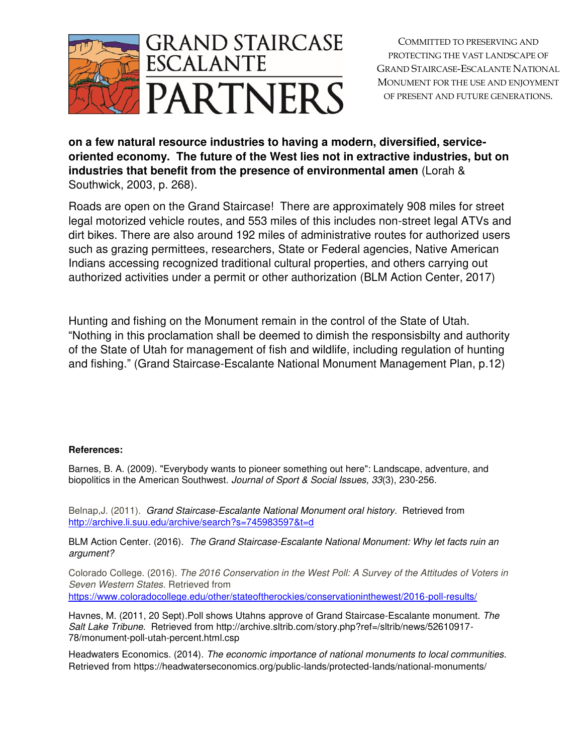

**on a few natural resource industries to having a modern, diversified, serviceoriented economy. The future of the West lies not in extractive industries, but on industries that benefit from the presence of environmental amen** (Lorah & Southwick, 2003, p. 268).

Roads are open on the Grand Staircase! There are approximately 908 miles for street legal motorized vehicle routes, and 553 miles of this includes non-street legal ATVs and dirt bikes. There are also around 192 miles of administrative routes for authorized users such as grazing permittees, researchers, State or Federal agencies, Native American Indians accessing recognized traditional cultural properties, and others carrying out authorized activities under a permit or other authorization (BLM Action Center, 2017)

Hunting and fishing on the Monument remain in the control of the State of Utah. "Nothing in this proclamation shall be deemed to dimish the responsisbilty and authority of the State of Utah for management of fish and wildlife, including regulation of hunting and fishing." (Grand Staircase-Escalante National Monument Management Plan, p.12)

## **References:**

Barnes, B. A. (2009). "Everybody wants to pioneer something out here": Landscape, adventure, and biopolitics in the American Southwest. *Journal of Sport & Social Issues, 33*(3), 230-256.

Belnap,J. (2011). *Grand Staircase-Escalante National Monument oral history*. Retrieved from <http://archive.li.suu.edu/archive/search?s=745983597&t=d>

BLM Action Center. (2016). *The Grand Staircase-Escalante National Monument: Why let facts ruin an argument?* 

Colorado College. (2016). *The 2016 Conservation in the West Poll: A Survey of the Attitudes of Voters in Seven Western States*. Retrieved from <https://www.coloradocollege.edu/other/stateoftherockies/conservationinthewest/2016-poll-results/>

Havnes, M. (2011, 20 Sept).Poll shows Utahns approve of Grand Staircase-Escalante monument. *The Salt Lake Tribune*. Retrieved from http://archive.sltrib.com/story.php?ref=/sltrib/news/52610917- 78/monument-poll-utah-percent.html.csp

Headwaters Economics. (2014). *The economic importance of national monuments to local communities.* Retrieved from https://headwaterseconomics.org/public-lands/protected-lands/national-monuments/